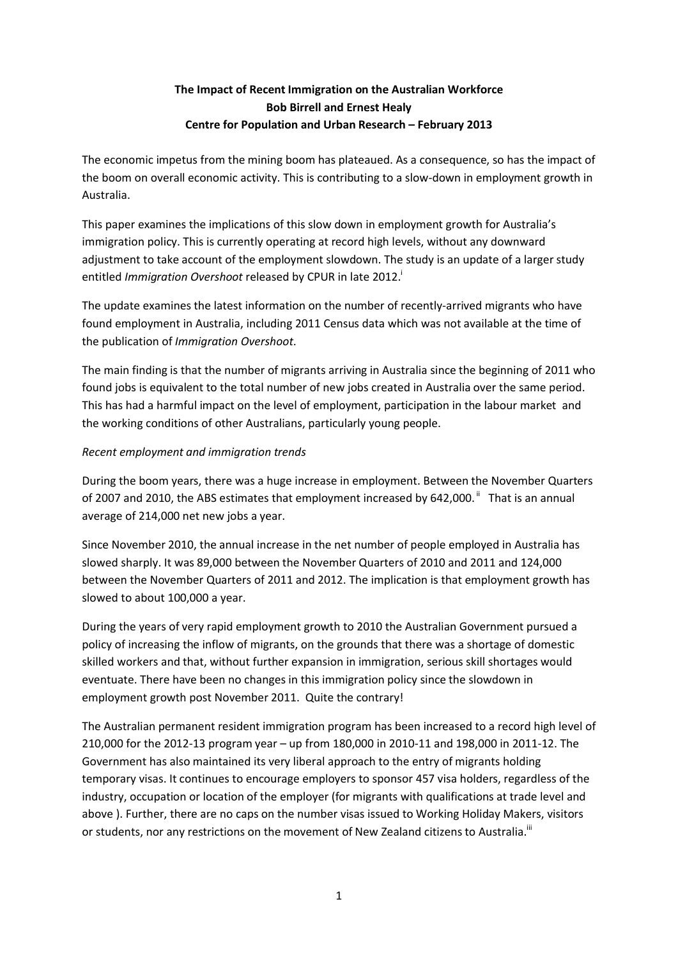# **The Impact of Recent Immigration on the Australian Workforce Bob Birrell and Ernest Healy Centre for Population and Urban Research – February 2013**

The economic impetus from the mining boom has plateaued. As a consequence, so has the impact of the boom on overall economic activity. This is contributing to a slow-down in employment growth in Australia.

This paper examines the implications of this slow down in employment growth for Australia's immigration policy. This is currently operating at record high levels, without any downward adjustment to take account of the employment slowdown. The study is an update of a larger study entitled *Immigration Overshoot* released by CPUR in late 2012.

The update examines the latest information on the number of recently-arrived migrants who have found employment in Australia, including 2011 Census data which was not available at the time of the publication of *Immigration Overshoot*.

The main finding is that the number of migrants arriving in Australia since the beginning of 2011 who found jobs is equivalent to the total number of new jobs created in Australia over the same period. This has had a harmful impact on the level of employment, participation in the labour market and the working conditions of other Australians, particularly young people.

## *Recent employment and immigration trends*

During the boom years, there was a huge increase in employment. Between the November Quarters of 2007 and 2010, the ABS estimates that employment increased by 642,000. $^{\text{ii}}$  That is an annual average of 214,000 net new jobs a year.

Since November 2010, the annual increase in the net number of people employed in Australia has slowed sharply. It was 89,000 between the November Quarters of 2010 and 2011 and 124,000 between the November Quarters of 2011 and 2012. The implication is that employment growth has slowed to about 100,000 a year.

During the years of very rapid employment growth to 2010 the Australian Government pursued a policy of increasing the inflow of migrants, on the grounds that there was a shortage of domestic skilled workers and that, without further expansion in immigration, serious skill shortages would eventuate. There have been no changes in this immigration policy since the slowdown in employment growth post November 2011. Quite the contrary!

The Australian permanent resident immigration program has been increased to a record high level of 210,000 for the 2012-13 program year – up from 180,000 in 2010-11 and 198,000 in 2011-12. The Government has also maintained its very liberal approach to the entry of migrants holding temporary visas. It continues to encourage employers to sponsor 457 visa holders, regardless of the industry, occupation or location of the employer (for migrants with qualifications at trade level and above ). Further, there are no caps on the number visas issued to Working Holiday Makers, visitors or students, nor any restrictions on the movement of New Zealand citizens to Australia.<sup>iii</sup>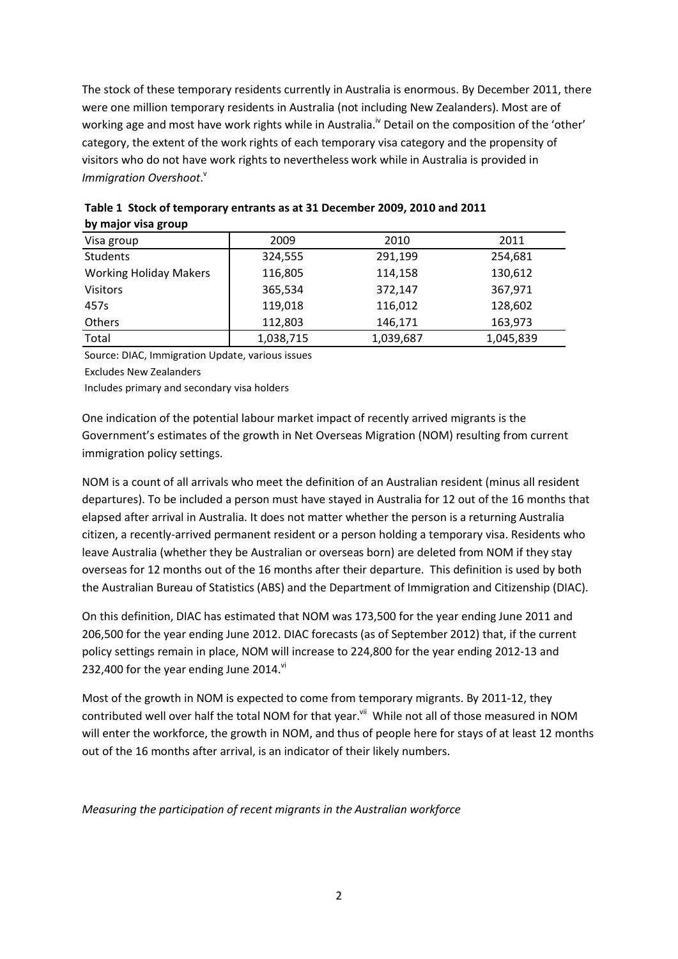The stock of these temporary residents currently in Australia is enormous. By December 2011, there were one million temporary residents in Australia (not including New Zealanders). Most are of working age and most have work rights while in Australia.<sup>iv</sup> Detail on the composition of the 'other' category, the extent of the work rights of each temporary visa category and the propensity of visitors who do not have work rights to nevertheless work while in Australia is provided in Immigration Overshoot.<sup>v</sup>

| <b>NY IIINJUL VIJU SLUUP</b>  |           |           |           |
|-------------------------------|-----------|-----------|-----------|
| Visa group                    | 2009      | 2010      | 2011      |
| Students                      | 324,555   | 291,199   | 254,681   |
| <b>Working Holiday Makers</b> | 116,805   | 114,158   | 130,612   |
| <b>Visitors</b>               | 365,534   | 372,147   | 367,971   |
| 457s                          | 119,018   | 116,012   | 128,602   |
| Others                        | 112.803   | 146,171   | 163,973   |
| Total                         | 1,038,715 | 1,039,687 | 1,045,839 |

**Table 1 Stock of temporary entrants as at 31 December 2009, 2010 and 2011 by major visa group**

Source: DIAC, Immigration Update, various issues

Excludes New Zealanders

Includes primary and secondary visa holders

One indication of the potential labour market impact of recently arrived migrants is the Government's estimates of the growth in Net Overseas Migration (NOM) resulting from current immigration policy settings.

NOM is a count of all arrivals who meet the definition of an Australian resident (minus all resident departures). To be included a person must have stayed in Australia for 12 out of the 16 months that elapsed after arrival in Australia. It does not matter whether the person is a returning Australia citizen, a recently-arrived permanent resident or a person holding a temporary visa. Residents who leave Australia (whether they be Australian or overseas born) are deleted from NOM if they stay overseas for 12 months out of the 16 months after their departure. This definition is used by both the Australian Bureau of Statistics (ABS) and the Department of Immigration and Citizenship (DIAC).

On this definition, DIAC has estimated that NOM was 173,500 for the year ending June 2011 and 206,500 for the year ending June 2012. DIAC forecasts (as of September 2012) that, if the current policy settings remain in place, NOM will increase to 224,800 for the year ending 2012-13 and 232,400 for the year ending June 2014. $\mathrm{v}$ <sup>i</sup>

Most of the growth in NOM is expected to come from temporary migrants. By 2011-12, they contributed well over half the total NOM for that year.<sup>vii</sup> While not all of those measured in NOM will enter the workforce, the growth in NOM, and thus of people here for stays of at least 12 months out of the 16 months after arrival, is an indicator of their likely numbers.

*Measuring the participation of recent migrants in the Australian workforce*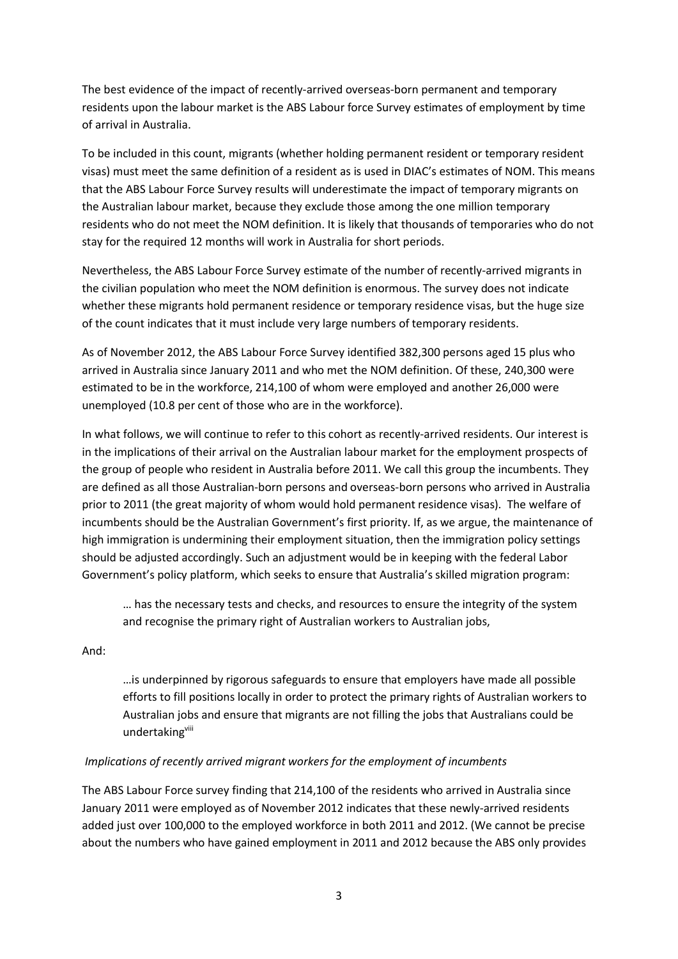The best evidence of the impact of recently-arrived overseas-born permanent and temporary residents upon the labour market is the ABS Labour force Survey estimates of employment by time of arrival in Australia.

To be included in this count, migrants (whether holding permanent resident or temporary resident visas) must meet the same definition of a resident as is used in DIAC's estimates of NOM. This means that the ABS Labour Force Survey results will underestimate the impact of temporary migrants on the Australian labour market, because they exclude those among the one million temporary residents who do not meet the NOM definition. It is likely that thousands of temporaries who do not stay for the required 12 months will work in Australia for short periods.

Nevertheless, the ABS Labour Force Survey estimate of the number of recently-arrived migrants in the civilian population who meet the NOM definition is enormous. The survey does not indicate whether these migrants hold permanent residence or temporary residence visas, but the huge size of the count indicates that it must include very large numbers of temporary residents.

As of November 2012, the ABS Labour Force Survey identified 382,300 persons aged 15 plus who arrived in Australia since January 2011 and who met the NOM definition. Of these, 240,300 were estimated to be in the workforce, 214,100 of whom were employed and another 26,000 were unemployed (10.8 per cent of those who are in the workforce).

In what follows, we will continue to refer to this cohort as recently-arrived residents. Our interest is in the implications of their arrival on the Australian labour market for the employment prospects of the group of people who resident in Australia before 2011. We call this group the incumbents. They are defined as all those Australian-born persons and overseas-born persons who arrived in Australia prior to 2011 (the great majority of whom would hold permanent residence visas). The welfare of incumbents should be the Australian Government's first priority. If, as we argue, the maintenance of high immigration is undermining their employment situation, then the immigration policy settings should be adjusted accordingly. Such an adjustment would be in keeping with the federal Labor Government's policy platform, which seeks to ensure that Australia's skilled migration program:

… has the necessary tests and checks, and resources to ensure the integrity of the system and recognise the primary right of Australian workers to Australian jobs,

And:

…is underpinned by rigorous safeguards to ensure that employers have made all possible efforts to fill positions locally in order to protect the primary rights of Australian workers to Australian jobs and ensure that migrants are not filling the jobs that Australians could be undertakingviii

## *Implications of recently arrived migrant workers for the employment of incumbents*

The ABS Labour Force survey finding that 214,100 of the residents who arrived in Australia since January 2011 were employed as of November 2012 indicates that these newly-arrived residents added just over 100,000 to the employed workforce in both 2011 and 2012. (We cannot be precise about the numbers who have gained employment in 2011 and 2012 because the ABS only provides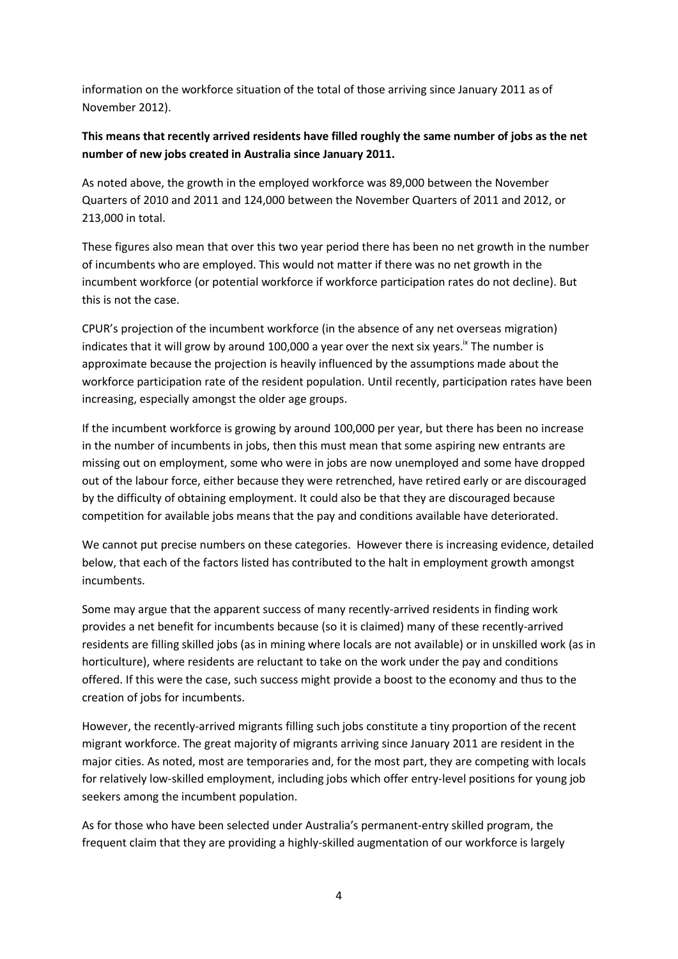information on the workforce situation of the total of those arriving since January 2011 as of November 2012).

# **This means that recently arrived residents have filled roughly the same number of jobs as the net number of new jobs created in Australia since January 2011.**

As noted above, the growth in the employed workforce was 89,000 between the November Quarters of 2010 and 2011 and 124,000 between the November Quarters of 2011 and 2012, or 213,000 in total.

These figures also mean that over this two year period there has been no net growth in the number of incumbents who are employed. This would not matter if there was no net growth in the incumbent workforce (or potential workforce if workforce participation rates do not decline). But this is not the case.

CPUR's projection of the incumbent workforce (in the absence of any net overseas migration) indicates that it will grow by around 100,000 a year over the next six years.<sup> $\frac{1}{x}$ </sup> The number is approximate because the projection is heavily influenced by the assumptions made about the workforce participation rate of the resident population. Until recently, participation rates have been increasing, especially amongst the older age groups.

If the incumbent workforce is growing by around 100,000 per year, but there has been no increase in the number of incumbents in jobs, then this must mean that some aspiring new entrants are missing out on employment, some who were in jobs are now unemployed and some have dropped out of the labour force, either because they were retrenched, have retired early or are discouraged by the difficulty of obtaining employment. It could also be that they are discouraged because competition for available jobs means that the pay and conditions available have deteriorated.

We cannot put precise numbers on these categories. However there is increasing evidence, detailed below, that each of the factors listed has contributed to the halt in employment growth amongst incumbents.

Some may argue that the apparent success of many recently-arrived residents in finding work provides a net benefit for incumbents because (so it is claimed) many of these recently-arrived residents are filling skilled jobs (as in mining where locals are not available) or in unskilled work (as in horticulture), where residents are reluctant to take on the work under the pay and conditions offered. If this were the case, such success might provide a boost to the economy and thus to the creation of jobs for incumbents.

However, the recently-arrived migrants filling such jobs constitute a tiny proportion of the recent migrant workforce. The great majority of migrants arriving since January 2011 are resident in the major cities. As noted, most are temporaries and, for the most part, they are competing with locals for relatively low-skilled employment, including jobs which offer entry-level positions for young job seekers among the incumbent population.

As for those who have been selected under Australia's permanent-entry skilled program, the frequent claim that they are providing a highly-skilled augmentation of our workforce is largely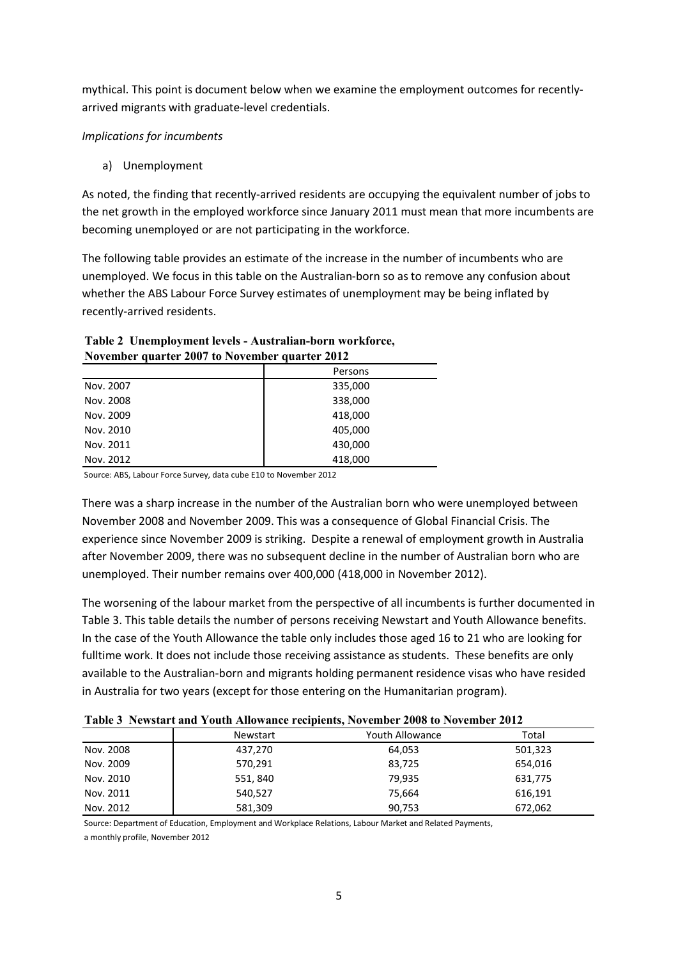mythical. This point is document below when we examine the employment outcomes for recentlyarrived migrants with graduate-level credentials.

# *Implications for incumbents*

a) Unemployment

As noted, the finding that recently-arrived residents are occupying the equivalent number of jobs to the net growth in the employed workforce since January 2011 must mean that more incumbents are becoming unemployed or are not participating in the workforce.

The following table provides an estimate of the increase in the number of incumbents who are unemployed. We focus in this table on the Australian-born so as to remove any confusion about whether the ABS Labour Force Survey estimates of unemployment may be being inflated by recently-arrived residents.

# **Table 2 Unemployment levels - Australian-born workforce, November quarter 2007 to November quarter 2012**

|           | Persons |
|-----------|---------|
| Nov. 2007 | 335,000 |
| Nov. 2008 | 338,000 |
| Nov. 2009 | 418,000 |
| Nov. 2010 | 405,000 |
| Nov. 2011 | 430,000 |
| Nov. 2012 | 418,000 |

Source: ABS, Labour Force Survey, data cube E10 to November 2012

There was a sharp increase in the number of the Australian born who were unemployed between November 2008 and November 2009. This was a consequence of Global Financial Crisis. The experience since November 2009 is striking. Despite a renewal of employment growth in Australia after November 2009, there was no subsequent decline in the number of Australian born who are unemployed. Their number remains over 400,000 (418,000 in November 2012).

The worsening of the labour market from the perspective of all incumbents is further documented in Table 3. This table details the number of persons receiving Newstart and Youth Allowance benefits. In the case of the Youth Allowance the table only includes those aged 16 to 21 who are looking for fulltime work. It does not include those receiving assistance as students. These benefits are only available to the Australian-born and migrants holding permanent residence visas who have resided in Australia for two years (except for those entering on the Humanitarian program).

|           | Newstart | Youth Allowance | Total   |
|-----------|----------|-----------------|---------|
| Nov. 2008 | 437,270  | 64,053          | 501,323 |
| Nov. 2009 | 570,291  | 83,725          | 654,016 |
| Nov. 2010 | 551, 840 | 79.935          | 631,775 |
| Nov. 2011 | 540,527  | 75.664          | 616,191 |
| Nov. 2012 | 581,309  | 90,753          | 672,062 |

Source: Department of Education, Employment and Workplace Relations, Labour Market and Related Payments,

a monthly profile, November 2012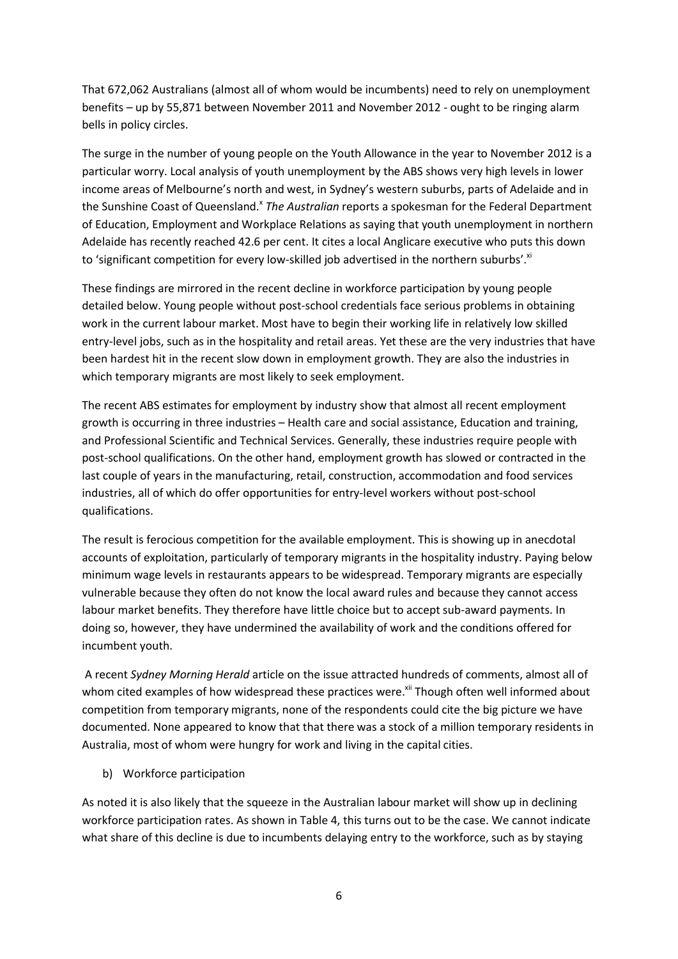That 672,062 Australians (almost all of whom would be incumbents) need to rely on unemployment benefits – up by 55,871 between November 2011 and November 2012 - ought to be ringing alarm bells in policy circles.

The surge in the number of young people on the Youth Allowance in the year to November 2012 is a particular worry. Local analysis of youth unemployment by the ABS shows very high levels in lower income areas of Melbourne's north and west, in Sydney's western suburbs, parts of Adelaide and in the Sunshine Coast of Queensland.<sup>x</sup> The Australian reports a spokesman for the Federal Department of Education, Employment and Workplace Relations as saying that youth unemployment in northern Adelaide has recently reached 42.6 per cent. It cites a local Anglicare executive who puts this down to 'significant competition for every low-skilled job advertised in the northern suburbs'. $x_i$ 

These findings are mirrored in the recent decline in workforce participation by young people detailed below. Young people without post-school credentials face serious problems in obtaining work in the current labour market. Most have to begin their working life in relatively low skilled entry-level jobs, such as in the hospitality and retail areas. Yet these are the very industries that have been hardest hit in the recent slow down in employment growth. They are also the industries in which temporary migrants are most likely to seek employment.

The recent ABS estimates for employment by industry show that almost all recent employment growth is occurring in three industries – Health care and social assistance, Education and training, and Professional Scientific and Technical Services. Generally, these industries require people with post-school qualifications. On the other hand, employment growth has slowed or contracted in the last couple of years in the manufacturing, retail, construction, accommodation and food services industries, all of which do offer opportunities for entry-level workers without post-school qualifications.

The result is ferocious competition for the available employment. This is showing up in anecdotal accounts of exploitation, particularly of temporary migrants in the hospitality industry. Paying below minimum wage levels in restaurants appears to be widespread. Temporary migrants are especially vulnerable because they often do not know the local award rules and because they cannot access labour market benefits. They therefore have little choice but to accept sub-award payments. In doing so, however, they have undermined the availability of work and the conditions offered for incumbent youth.

A recent *Sydney Morning Herald* article on the issue attracted hundreds of comments, almost all of whom cited examples of how widespread these practices were.<sup>xii</sup> Though often well informed about competition from temporary migrants, none of the respondents could cite the big picture we have documented. None appeared to know that that there was a stock of a million temporary residents in Australia, most of whom were hungry for work and living in the capital cities.

b) Workforce participation

As noted it is also likely that the squeeze in the Australian labour market will show up in declining workforce participation rates. As shown in Table 4, this turns out to be the case. We cannot indicate what share of this decline is due to incumbents delaying entry to the workforce, such as by staying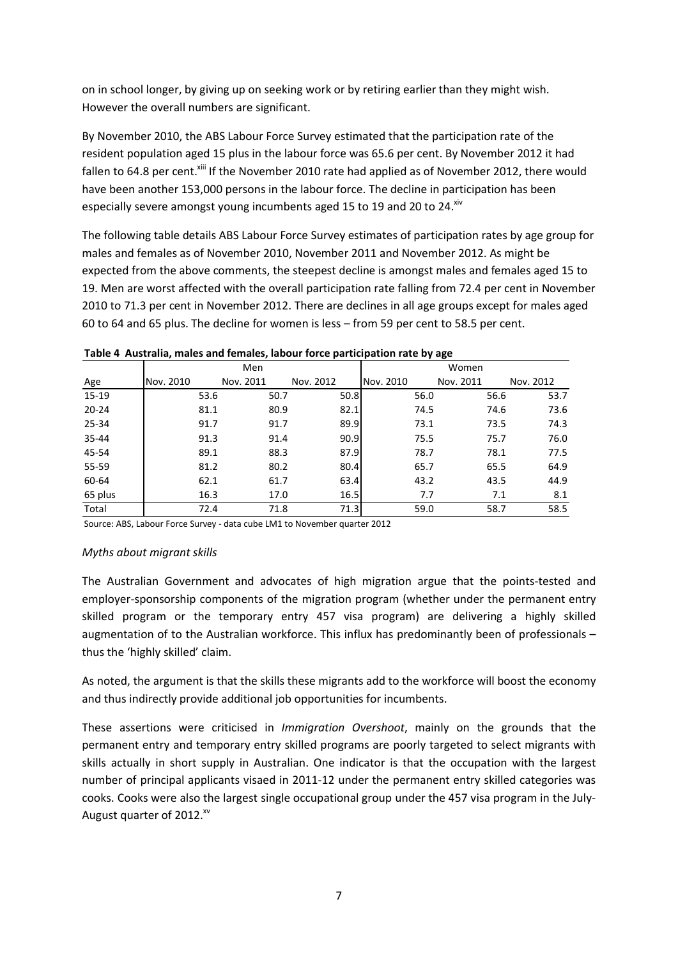on in school longer, by giving up on seeking work or by retiring earlier than they might wish. However the overall numbers are significant.

By November 2010, the ABS Labour Force Survey estimated that the participation rate of the resident population aged 15 plus in the labour force was 65.6 per cent. By November 2012 it had fallen to 64.8 per cent.<sup>Xiii</sup> If the November 2010 rate had applied as of November 2012, there would have been another 153,000 persons in the labour force. The decline in participation has been especially severe amongst young incumbents aged 15 to 19 and 20 to 24. xiv

The following table details ABS Labour Force Survey estimates of participation rates by age group for males and females as of November 2010, November 2011 and November 2012. As might be expected from the above comments, the steepest decline is amongst males and females aged 15 to 19. Men are worst affected with the overall participation rate falling from 72.4 per cent in November 2010 to 71.3 per cent in November 2012. There are declines in all age groups except for males aged 60 to 64 and 65 plus. The decline for women is less – from 59 per cent to 58.5 per cent.

|           |           | Men       |           | Women     |           |           |  |  |  |
|-----------|-----------|-----------|-----------|-----------|-----------|-----------|--|--|--|
| Age       | Nov. 2010 | Nov. 2011 | Nov. 2012 | Nov. 2010 | Nov. 2011 | Nov. 2012 |  |  |  |
| $15-19$   | 53.6      | 50.7      | 50.8      | 56.0      | 56.6      | 53.7      |  |  |  |
| $20 - 24$ | 81.1      | 80.9      | 82.1      | 74.5      | 74.6      | 73.6      |  |  |  |
| $25 - 34$ | 91.7      | 91.7      | 89.9      | 73.1      | 73.5      | 74.3      |  |  |  |
| 35-44     | 91.3      | 91.4      | 90.9      | 75.5      | 75.7      | 76.0      |  |  |  |
| 45-54     | 89.1      | 88.3      | 87.9      | 78.7      | 78.1      | 77.5      |  |  |  |
| 55-59     | 81.2      | 80.2      | 80.4      | 65.7      | 65.5      | 64.9      |  |  |  |
| 60-64     | 62.1      | 61.7      | 63.4      | 43.2      | 43.5      | 44.9      |  |  |  |
| 65 plus   | 16.3      | 17.0      | 16.5      | 7.7       | 7.1       | 8.1       |  |  |  |
| Total     | 72.4      | 71.8      | 71.3      | 59.0      | 58.7      | 58.5      |  |  |  |

**Table 4 Australia, males and females, labour force participation rate by age**

Source: ABS, Labour Force Survey - data cube LM1 to November quarter 2012

#### *Myths about migrant skills*

The Australian Government and advocates of high migration argue that the points-tested and employer-sponsorship components of the migration program (whether under the permanent entry skilled program or the temporary entry 457 visa program) are delivering a highly skilled augmentation of to the Australian workforce. This influx has predominantly been of professionals – thus the 'highly skilled' claim.

As noted, the argument is that the skills these migrants add to the workforce will boost the economy and thus indirectly provide additional job opportunities for incumbents.

These assertions were criticised in *Immigration Overshoot*, mainly on the grounds that the permanent entry and temporary entry skilled programs are poorly targeted to select migrants with skills actually in short supply in Australian. One indicator is that the occupation with the largest number of principal applicants visaed in 2011-12 under the permanent entry skilled categories was cooks. Cooks were also the largest single occupational group under the 457 visa program in the July-August quarter of 2012.<sup>xv</sup>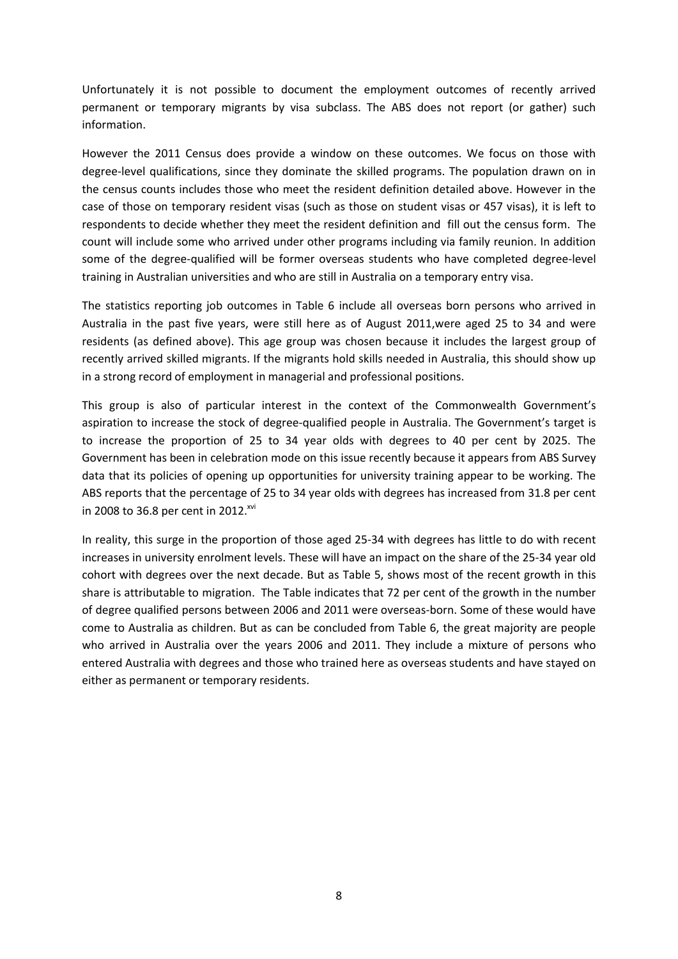Unfortunately it is not possible to document the employment outcomes of recently arrived permanent or temporary migrants by visa subclass. The ABS does not report (or gather) such information.

However the 2011 Census does provide a window on these outcomes. We focus on those with degree-level qualifications, since they dominate the skilled programs. The population drawn on in the census counts includes those who meet the resident definition detailed above. However in the case of those on temporary resident visas (such as those on student visas or 457 visas), it is left to respondents to decide whether they meet the resident definition and fill out the census form. The count will include some who arrived under other programs including via family reunion. In addition some of the degree-qualified will be former overseas students who have completed degree-level training in Australian universities and who are still in Australia on a temporary entry visa.

The statistics reporting job outcomes in Table 6 include all overseas born persons who arrived in Australia in the past five years, were still here as of August 2011,were aged 25 to 34 and were residents (as defined above). This age group was chosen because it includes the largest group of recently arrived skilled migrants. If the migrants hold skills needed in Australia, this should show up in a strong record of employment in managerial and professional positions.

This group is also of particular interest in the context of the Commonwealth Government's aspiration to increase the stock of degree-qualified people in Australia. The Government's target is to increase the proportion of 25 to 34 year olds with degrees to 40 per cent by 2025. The Government has been in celebration mode on this issue recently because it appears from ABS Survey data that its policies of opening up opportunities for university training appear to be working. The ABS reports that the percentage of 25 to 34 year olds with degrees has increased from 31.8 per cent in 2008 to 36.8 per cent in 2012.<sup>xvi</sup>

In reality, this surge in the proportion of those aged 25-34 with degrees has little to do with recent increases in university enrolment levels. These will have an impact on the share of the 25-34 year old cohort with degrees over the next decade. But as Table 5, shows most of the recent growth in this share is attributable to migration. The Table indicates that 72 per cent of the growth in the number of degree qualified persons between 2006 and 2011 were overseas-born. Some of these would have come to Australia as children. But as can be concluded from Table 6, the great majority are people who arrived in Australia over the years 2006 and 2011. They include a mixture of persons who entered Australia with degrees and those who trained here as overseas students and have stayed on either as permanent or temporary residents.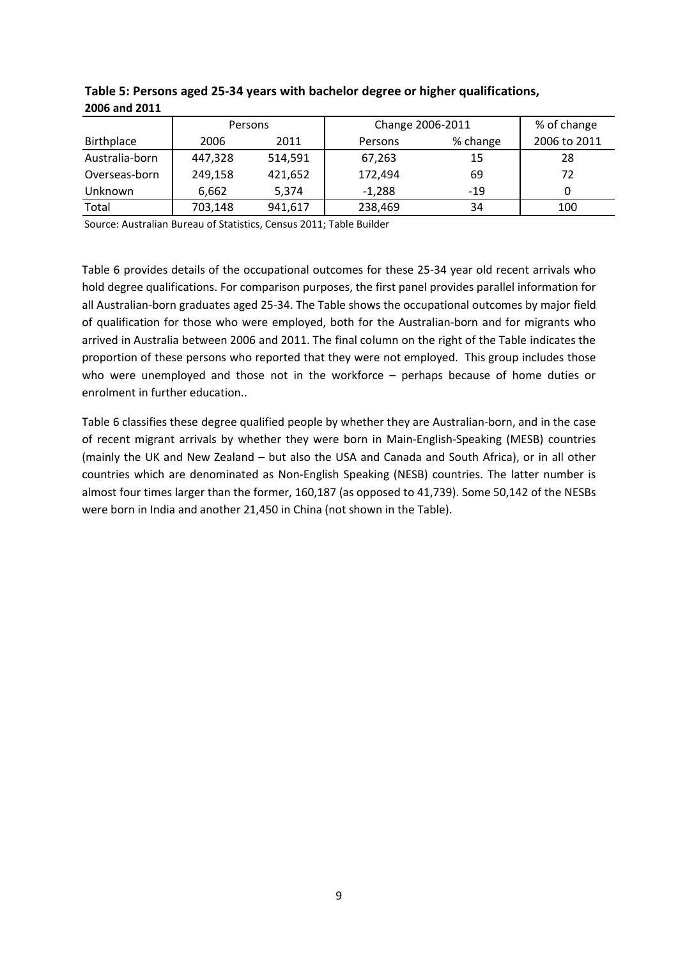|                | Persons |         | Change 2006-2011 | % of change |              |  |
|----------------|---------|---------|------------------|-------------|--------------|--|
| Birthplace     | 2006    | 2011    | Persons          | % change    | 2006 to 2011 |  |
| Australia-born | 447,328 | 514.591 | 67,263           | 15          | 28           |  |
| Overseas-born  | 249,158 | 421,652 | 172,494          | 69          | 72           |  |
| <b>Unknown</b> | 6.662   | 5.374   | $-1.288$         | $-19$       | 0            |  |
| Total          | 703,148 | 941,617 | 238,469          | 34          | 100          |  |

#### **Table 5: Persons aged 25-34 years with bachelor degree or higher qualifications, 2006 and 2011**

Source: Australian Bureau of Statistics, Census 2011; Table Builder

Table 6 provides details of the occupational outcomes for these 25-34 year old recent arrivals who hold degree qualifications. For comparison purposes, the first panel provides parallel information for all Australian-born graduates aged 25-34. The Table shows the occupational outcomes by major field of qualification for those who were employed, both for the Australian-born and for migrants who arrived in Australia between 2006 and 2011. The final column on the right of the Table indicates the proportion of these persons who reported that they were not employed. This group includes those who were unemployed and those not in the workforce - perhaps because of home duties or enrolment in further education..

Table 6 classifies these degree qualified people by whether they are Australian-born, and in the case of recent migrant arrivals by whether they were born in Main-English-Speaking (MESB) countries (mainly the UK and New Zealand – but also the USA and Canada and South Africa), or in all other countries which are denominated as Non-English Speaking (NESB) countries. The latter number is almost four times larger than the former, 160,187 (as opposed to 41,739). Some 50,142 of the NESBs were born in India and another 21,450 in China (not shown in the Table).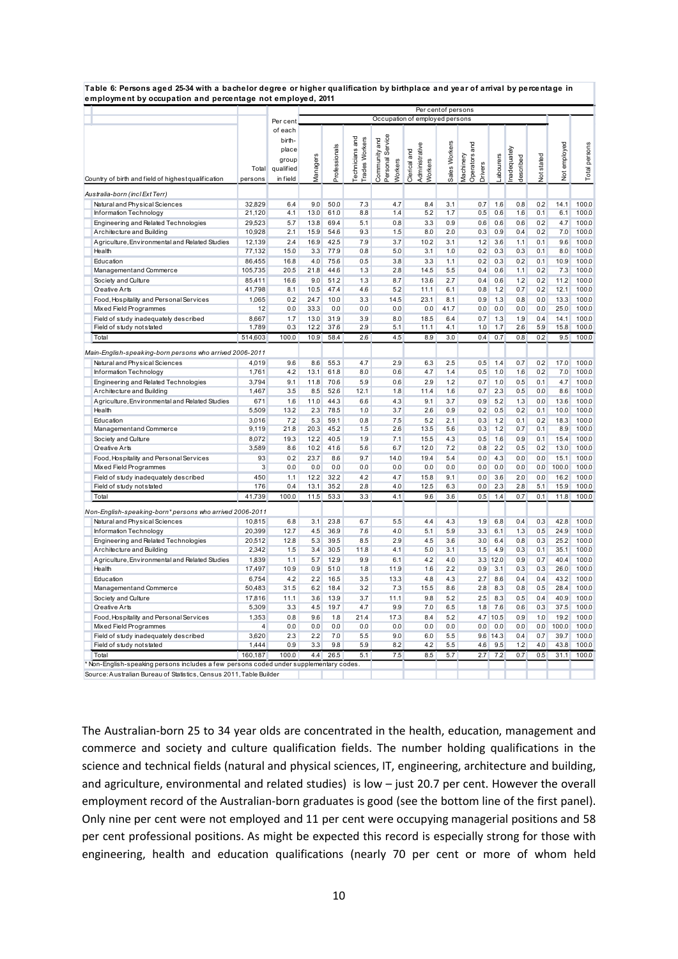**Table 6: Persons aged 25-34 with a bachelor degree or higher qualification by birthplace and year of arrival by percentage in employment by occupation and percentage not employed, 2011**

|                                                                                       |                   |                   | Per centof persons             |               |                                          |                                      |                                           |               |                                              |            |                          |            |              |                |
|---------------------------------------------------------------------------------------|-------------------|-------------------|--------------------------------|---------------|------------------------------------------|--------------------------------------|-------------------------------------------|---------------|----------------------------------------------|------------|--------------------------|------------|--------------|----------------|
|                                                                                       |                   | Per cent          | Occupation of employed persons |               |                                          |                                      |                                           |               |                                              |            |                          |            |              |                |
|                                                                                       |                   | of each<br>birth- |                                |               | <b>Trades Workers</b><br>Technicians and | Service                              |                                           |               |                                              |            |                          |            |              |                |
|                                                                                       |                   | place             |                                |               |                                          |                                      |                                           |               |                                              |            |                          |            |              |                |
|                                                                                       |                   | group             |                                |               |                                          |                                      |                                           |               |                                              |            |                          |            |              |                |
|                                                                                       | Total             | qualified         | Vlanagers                      | Professionals |                                          | Community and<br>Personal<br>Workers | Administrative<br>Clerical and<br>Workers | Sales Workers | Operators and<br>Machinery<br><b>Drivers</b> | abourers   | nadequately<br>described | Not stated | Not employed | Total persons  |
| Country of birth and field of highest qualification                                   | persons           | in field          |                                |               |                                          |                                      |                                           |               |                                              |            |                          |            |              |                |
| Australia-born (incl Ext Terr)                                                        |                   |                   |                                |               |                                          |                                      |                                           |               |                                              |            |                          |            |              |                |
| Natural and Physical Sciences                                                         | 32,829            | 6.4               | 9.0                            | 50.0          | 7.3                                      | 4.7                                  | 8.4                                       | 3.1           | 0.7                                          | 1.6        | 0.8                      | 0.2        | 14.1         | 100.0          |
| Information Technology                                                                | 21,120            | 4.1               | 13.0                           | 61.0          | 8.8                                      | 1.4                                  | 5.2                                       | 1.7           | 0.5                                          | 0.6        | 1.6                      | 0.1        | 6.1          | 100.0          |
| Engineering and Related Technologies                                                  | 29,523            | 5.7               | 13.8                           | 69.4          | 5.1                                      | 0.8                                  | 3.3                                       | 0.9           | 0.6                                          | 0.6        | 0.6                      | 0.2        | 4.7          | 100.0          |
| Architecture and Building                                                             | 10,928            | 2.1               | 15.9                           | 54.6          | 9.3                                      | 1.5                                  | 8.0                                       | 2.0           | 0.3                                          | 0.9        | 0.4                      | 0.2        | 7.0          | 100.0          |
| A griculture, Environmental and Related Studies<br>Health                             | 12,139            | 2.4               | 16.9<br>3.3                    | 42.5<br>77.9  | 7.9<br>0.8                               | 3.7<br>5.0                           | 10.2                                      | 3.1<br>1.0    | 1.2<br>0.2                                   | 3.6<br>0.3 | 1.1                      | 0.1<br>0.1 | 9.6<br>8.0   | 100.0          |
|                                                                                       | 77,132            | 15.0              |                                |               |                                          |                                      | 3.1                                       |               |                                              |            | 0.3                      |            |              | 100.0          |
| Education                                                                             | 86,455            | 16.8<br>20.5      | 4.0<br>21.8                    | 75.6<br>44.6  | 0.5<br>1.3                               | 3.8<br>2.8                           | 3.3<br>14.5                               | 1.1<br>5.5    | 0.2<br>0.4                                   | 0.3<br>0.6 | 0.2<br>1.1               | 0.1<br>0.2 | 10.9<br>7.3  | 100.0<br>100.0 |
| Management and Commerce<br>Society and Culture                                        | 105,735<br>85,411 | 16.6              | 9.0                            | 51.2          | 1.3                                      | 8.7                                  | 13.6                                      | 2.7           | 0.4                                          | 0.6        | 12                       | 0.2        | 11.2         | 100.0          |
| <b>Creative Arts</b>                                                                  | 41,798            | 8.1               | 10.5                           | 47.4          | 4.6                                      | 5.2                                  | 11.1                                      | 6.1           | 0.8                                          | 1.2        | 0.7                      | 0.2        | 12.1         | 100.0          |
| Food, Hospitality and Personal Services                                               | 1,065             | 0.2               | 24.7                           | 10.0          | 3.3                                      | 14.5                                 | 23.1                                      | 8.1           | 0.9                                          | 1.3        | 0.8                      | 0.0        | 13.3         | 100.0          |
| Mixed Field Programmes                                                                | 12                | 0.0               | 33.3                           | 0.0           | 0.0                                      | 0.0                                  | 0.0                                       | 41.7          | 0.0                                          | 0.0        | 0.0                      | 0.0        | 25.0         | 100.0          |
| Field of study inadequately described                                                 | 8.667             | 1.7               | 13.0                           | 31.9          | 3.9                                      | 8.0                                  | 18.5                                      | 6.4           | 0.7                                          | 1.3        | 1.9                      | 0.4        | 14.1         | 100.0          |
| Field of study not stated                                                             | 1,789             | 0.3               | 12.2                           | 37.6          | 2.9                                      | 5.1                                  | 11.1                                      | 4.1           | 1.0                                          | 1.7        | 2.6                      | 5.9        | 15.8         | 100.0          |
| Total                                                                                 | 514,603           | 100.0             | 10.9                           | 58.4          | 2.6                                      | 4.5                                  | 8.9                                       | 3.0           | 0.4                                          | 0.7        | 0.8                      | 0.2        | 9.5          | 100.0          |
| Main-English-speaking-born persons who arrived 2006-2011                              |                   |                   |                                |               |                                          |                                      |                                           |               |                                              |            |                          |            |              |                |
| Natural and Physical Sciences                                                         | 4,019             | 9.6               | 8.6                            | 55.3          | 4.7                                      | 2.9                                  | 6.3                                       | 2.5           | 0.5                                          | 1.4        | 0.7                      | 0.2        | 17.0         | 100.0          |
| Information Technology                                                                | 1,761             | 4.2               | 13.1                           | 61.8          | 8.0                                      | 0.6                                  | 4.7                                       | 1.4           | 0.5                                          | 1.0        | 1.6                      | 0.2        | 7.0          | 100.0          |
| Engineering and Related Technologies                                                  | 3,794             | 9.1               | 11.8                           | 70.6          | 5.9                                      | 0.6                                  | 2.9                                       | 1.2           | 0.7                                          | 1.0        | 0.5                      | 0.1        | 4.7          | 100.0          |
| Architecture and Building                                                             | 1,467             | 3.5               | 8.5                            | 52.6          | 12.1                                     | 1.8                                  | 11.4                                      | 1.6           | 0.7                                          | 2.3        | 0.5                      | 0.0        | 8.6          | 100.0          |
| A griculture, Environmental and Related Studies                                       | 671               | 1.6               | 11.0                           | 44.3          | 6.6                                      | 4.3                                  | 9.1                                       | 3.7           | 0.9                                          | 5.2        | 1.3                      | 0.0        | 13.6         | 100.0          |
| Health                                                                                | 5,509             | 13.2              | 2.3                            | 78.5          | 1.0                                      | 3.7                                  | 2.6                                       | 0.9           | 0.2                                          | 0.5        | 0.2                      | 0.1        | 10.0         | 100.0          |
| Education                                                                             | 3,016             | 7.2               | 5.3                            | 59.1          | 0.8                                      | 7.5                                  | 5.2                                       | 2.1           | 0.3                                          | 1.2        | 0.1                      | 0.2        | 18.3         | 100.0          |
| Managementand Commerce                                                                | 9,119             | 21.8              | 20.3                           | 45.2          | 1.5                                      | 2.6                                  | 13.5                                      | 5.6           | 0.3                                          | 1.2        | 0.7                      | 0.1        | 8.9          | 100.0          |
| Society and Culture                                                                   | 8,072             | 19.3              | 12.2                           | 40.5          | 1.9                                      | 7.1                                  | 15.5                                      | 4.3           | 0.5                                          | 1.6        | 0.9                      | 0.1        | 15.4         | 100.0          |
| <b>Creative Arts</b>                                                                  | 3,589             | 8.6               | 10.2                           | 41.6          | 5.6                                      | 6.7                                  | 12.0                                      | 7.2           | 0.8                                          | 2.2        | 0.5                      | 0.2        | 13.0         | 100.0          |
| Food, Hospitality and Personal Services                                               | 93                | 0.2               | 23.7                           | 8.6           | 9.7                                      | 14.0                                 | 19.4                                      | 5.4           | 0.0                                          | 4.3        | 0.0                      | 0.0        | 15.1         | 100.0          |
| Mixed Field Programmes                                                                | 3                 | 0.0               | 0.0                            | 0.0           | 0.0                                      | 0.0                                  | 0.0                                       | 0.0           | 0.0                                          | 0.0        | 0.0                      | 0.0        | 100.0        | 100.0          |
| Field of study inadequately described                                                 | 450               | 1.1               | 12.2                           | 32.2          | 4.2                                      | 4.7                                  | 15.8                                      | 9.1           | 0.0                                          | 3.6        | 2.0                      | 0.0        | 16.2         | 100.0          |
| Field of study not stated                                                             | 176               | 0.4               | 13.1                           | 35.2          | 2.8                                      | 4.0                                  | 12.5                                      | 6.3           | 0.0                                          | 2.3        | 2.8                      | 5.1        | 15.9         | 100.0          |
| Total                                                                                 | 41,739            | 100.0             | 11.5                           | 53.3          | 3.3                                      | 4.1                                  | 9.6                                       | 3.6           | 0.5                                          | 1.4        | 0.7                      | 0.1        | 11.8         | 100.0          |
| Non-English-speaking-born*persons who arrived 2006-2011                               |                   |                   |                                |               |                                          |                                      |                                           |               |                                              |            |                          |            |              |                |
| Natural and Physical Sciences                                                         | 10,815            | 6.8               | 3.1                            | 23.8          | 6.7                                      | 5.5                                  | 4.4                                       | 4.3           | 1.9                                          | 6.8        | 0.4                      | 0.3        | 42.8         | 100.0          |
| Information Technology                                                                | 20,399            | 12.7              | 4.5                            | 36.9          | 7.6                                      | 4.0                                  | 5.1                                       | 5.9           | 3.3                                          | 6.1        | 1.3                      | 0.5        | 24.9         | 100.0          |
| Engineering and Related Technologies                                                  | 20,512            | 12.8              | 5.3                            | 39.5          | 8.5                                      | 2.9                                  | 4.5                                       | 3.6           | 3.0                                          | 6.4        | 0.8                      | 0.3        | 25.2         | 100.0          |
| Architecture and Building                                                             | 2,342             | 1.5               | 3.4                            | 30.5          | 11.8                                     | 4.1                                  | 5.0                                       | 3.1           | 1.5                                          | 4.9        | 0.3                      | 0.1        | 35.1         | 100.0          |
| A griculture, Environmental and Related Studies                                       | 1,839             | 1.1               | 5.7                            | 12.9          | 9.9                                      | 6.1                                  | 4.2                                       | 4.0           |                                              | 3.3 12.0   | 0.9                      | 0.7        | 40.4         | 100.0          |
| Health                                                                                | 17,497            | 10.9              | 0.9                            | 51.0          | 1.8                                      | 11.9                                 | 1.6                                       | 2.2           | 0.9                                          | 3.1        | 0.3                      | 0.3        | 26.0         | 100.0          |
| Education                                                                             | 6,754             | 4.2               | 2.2                            | 16.5          | 3.5                                      | 13.3                                 | 4.8                                       | 4.3           | 2.7                                          | 8.6        | 0.4                      | 0.4        | 43.2         | 100.0          |
| Management and Commerce                                                               | 50,483            | 31.5              | 6.2                            | 18.4          | 3.2                                      | 7.3                                  | 15.5                                      | 8.6           | 2.8                                          | 8.3        | 0.8                      | 0.5        | 28.4         | 100.0          |
| Society and Culture<br><b>Creative Arts</b>                                           | 17,816<br>5,309   | 11.1<br>3.3       | 3.6<br>4.5                     | 13.9<br>19.7  | 3.7<br>4.7                               | 11.1<br>9.9                          | 9.8<br>7.0                                | 5.2<br>6.5    | 2.5<br>1.8                                   | 8.3<br>7.6 | 0.5<br>0.6               | 0.4<br>0.3 | 40.9<br>37.5 | 100.0<br>100.0 |
| Food, Hospitality and Personal Services                                               | 1,353             | 0.8               | 9.6                            | 1.8           | 21.4                                     | 17.3                                 | 8.4                                       | 5.2           | 4.7                                          | 10.5       | 0.9                      | 1.0        | 19.2         | 100.0          |
| Mixed Field Programmes                                                                | $\overline{4}$    | 0.0               | 0.0                            | 0.0           | 0.0                                      | 0.0                                  | 0.0                                       | 0.0           | 0.0                                          | 0.0        | 0.0                      | 0.0        | 100.0        | 100.0          |
| Field of study inadequately described                                                 | 3,620             | 2.3               | 2.2                            | 7.0           | 5.5                                      | 9.0                                  | 6.0                                       | 5.5           |                                              | 9.6 14.3   | 0.4                      | 0.7        | 39.7         | 100.0          |
| Field of study not stated                                                             | 1,444             | 0.9               | 3.3                            | 9.8           | 5.9                                      | 8.2                                  | 4.2                                       | 5.5           | 4.6                                          | 9.5        | 1.2                      | 4.0        | 43.8         | 100.0          |
| Total                                                                                 | 160.187           | 100.0             | 4A                             | 26.5          | 5.1                                      | 7.5                                  | 8.5                                       | 5.7           | 2.7                                          | 7.2        | 0.7                      | 0.5        | 31.1         | 100.0          |
| * Non-English-speaking persons includes a few persons coded under supplementary codes |                   |                   |                                |               |                                          |                                      |                                           |               |                                              |            |                          |            |              |                |
| Source: Australian Bureau of Statistics, Census 2011, Table Builder                   |                   |                   |                                |               |                                          |                                      |                                           |               |                                              |            |                          |            |              |                |

The Australian-born 25 to 34 year olds are concentrated in the health, education, management and commerce and society and culture qualification fields. The number holding qualifications in the science and technical fields (natural and physical sciences, IT, engineering, architecture and building, and agriculture, environmental and related studies) is low – just 20.7 per cent. However the overall employment record of the Australian-born graduates is good (see the bottom line of the first panel). Only nine per cent were not employed and 11 per cent were occupying managerial positions and 58 per cent professional positions. As might be expected this record is especially strong for those with engineering, health and education qualifications (nearly 70 per cent or more of whom held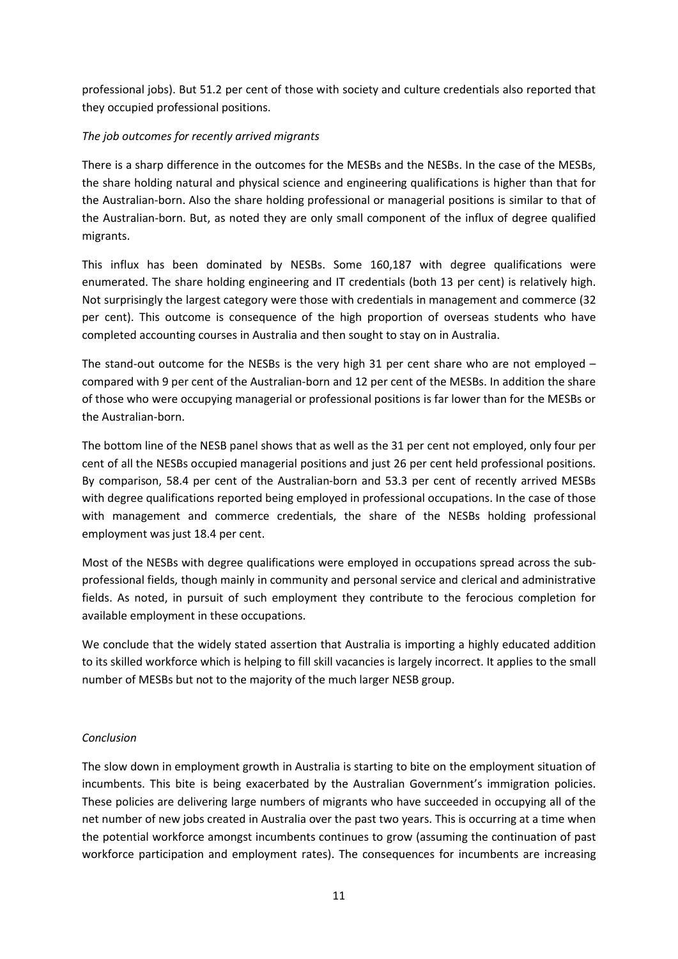professional jobs). But 51.2 per cent of those with society and culture credentials also reported that they occupied professional positions.

# *The job outcomes for recently arrived migrants*

There is a sharp difference in the outcomes for the MESBs and the NESBs. In the case of the MESBs, the share holding natural and physical science and engineering qualifications is higher than that for the Australian-born. Also the share holding professional or managerial positions is similar to that of the Australian-born. But, as noted they are only small component of the influx of degree qualified migrants.

This influx has been dominated by NESBs. Some 160,187 with degree qualifications were enumerated. The share holding engineering and IT credentials (both 13 per cent) is relatively high. Not surprisingly the largest category were those with credentials in management and commerce (32 per cent). This outcome is consequence of the high proportion of overseas students who have completed accounting courses in Australia and then sought to stay on in Australia.

The stand-out outcome for the NESBs is the very high 31 per cent share who are not employed  $$ compared with 9 per cent of the Australian-born and 12 per cent of the MESBs. In addition the share of those who were occupying managerial or professional positions is far lower than for the MESBs or the Australian-born.

The bottom line of the NESB panel shows that as well as the 31 per cent not employed, only four per cent of all the NESBs occupied managerial positions and just 26 per cent held professional positions. By comparison, 58.4 per cent of the Australian-born and 53.3 per cent of recently arrived MESBs with degree qualifications reported being employed in professional occupations. In the case of those with management and commerce credentials, the share of the NESBs holding professional employment was just 18.4 per cent.

Most of the NESBs with degree qualifications were employed in occupations spread across the subprofessional fields, though mainly in community and personal service and clerical and administrative fields. As noted, in pursuit of such employment they contribute to the ferocious completion for available employment in these occupations.

We conclude that the widely stated assertion that Australia is importing a highly educated addition to its skilled workforce which is helping to fill skill vacancies is largely incorrect. It applies to the small number of MESBs but not to the majority of the much larger NESB group.

## *Conclusion*

The slow down in employment growth in Australia is starting to bite on the employment situation of incumbents. This bite is being exacerbated by the Australian Government's immigration policies. These policies are delivering large numbers of migrants who have succeeded in occupying all of the net number of new jobs created in Australia over the past two years. This is occurring at a time when the potential workforce amongst incumbents continues to grow (assuming the continuation of past workforce participation and employment rates). The consequences for incumbents are increasing